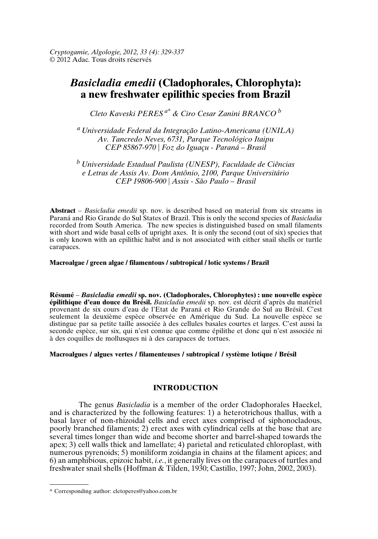# *Basicladia emedii* **(Cladophorales, Chlorophyta): a new freshwater epilithic species from Brazil**

*Cleto Kaveski PERES a\* & Ciro Cesar Zanini BRANCO b*

*a Universidade Federal da Integração Latino-Americana (UNILA) Av. Tancredo Neves, 6731, Parque Tecnológico Itaipu CEP 85867-970 | Foz do Iguaçu - Paraná – Brasil*

*b Universidade Estadual Paulista (UNESP), Faculdade de Ciências e Letras de Assis Av. Dom Antônio, 2100, Parque Universitário CEP 19806-900 | Assis - São Paulo – Brasil*

**Abstract** – *Basicladia emedii* sp. nov. is described based on material from six streams in Paraná and Rio Grande do Sul States of Brazil. This is only the second species of *Basicladia* recorded from South America. The new species is distinguished based on small filaments with short and wide basal cells of upright axes. It is only the second (out of six) species that is only known with an epilithic habit and is not associated with either snail shells or turtle carapaces.

### **Macroalgae / green algae / filamentous / subtropical / lotic systems / Brazil**

**Résumé** – *Basicladia emedii* **sp. nov. (Cladophorales, Chlorophytes) : une nouvelle espèce épilithique d'eau douce du Brésil.** *Basicladia emedii* sp. nov. est décrit d'après du matériel provenant de six cours d'eau de l'Etat de Paraná et Rio Grande do Sul au Brésil. C'est seulement la deuxième espèce observée en Amérique du Sud. La nouvelle espèce se distingue par sa petite taille associée à des cellules basales courtes et larges. C'est aussi la seconde espèce, sur six, qui n'est connue que comme épilithe et donc qui n'est associée ni à des coquilles de mollusques ni à des carapaces de tortues.

# **Macroalgues / algues vertes / filamenteuses / subtropical / système lotique / Brésil**

# **INTRODUCTION**

The genus *Basicladia* is a member of the order Cladophorales Haeckel, and is characterized by the following features: 1) a heterotrichous thallus, with a basal layer of non-rhizoidal cells and erect axes comprised of siphonocladous, poorly branched filaments; 2) erect axes with cylindrical cells at the base that are several times longer than wide and become shorter and barrel-shaped towards the apex; 3) cell walls thick and lamellate; 4) parietal and reticulated chloroplast, with numerous pyrenoids; 5) moniliform zoidangia in chains at the filament apices; and 6) an amphibious, epizoic habit, *i.e.*, it generally lives on the carapaces of turtles and freshwater snail shells (Hoffman & Tilden, 1930; Castillo, 1997; John, 2002, 2003).

<sup>\*</sup> Corresponding author: cletoperes@yahoo.com.br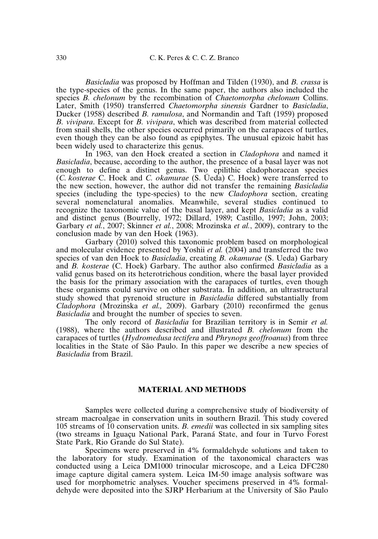*Basicladia* was proposed by Hoffman and Tilden (1930), and *B. crassa* is the type-species of the genus. In the same paper, the authors also included the species *B. chelonum* by the recombination of *Chaetomorpha chelonum* Collins. Later, Smith (1950) transferred *Chaetomorpha sinensis* Gardner to *Basicladia*, Ducker (1958) described *B. ramulosa*, and Normandin and Taft (1959) proposed *B. vivipara*. Except for *B. vivipara*, which was described from material collected from snail shells, the other species occurred primarily on the carapaces of turtles, even though they can be also found as epiphytes. The unusual epizoic habit has been widely used to characterize this genus.

In 1963, van den Hoek created a section in *Cladophora* and named it *Basicladia*, because, according to the author, the presence of a basal layer was not enough to define a distinct genus. Two epilithic cladophoracean species (*C. kosterae* C. Hoek and *C. okamurae* (S. Üeda) C. Hoek) were transferred to the new section, however, the author did not transfer the remaining *Basicladia* species (including the type-species) to the new *Cladophora* section, creating several nomenclatural anomalies. Meanwhile, several studies continued to recognize the taxonomic value of the basal layer, and kept *Basicladia* as a valid and distinct genus (Bourrelly, 1972; Dillard, 1989; Castillo, 1997; John, 2003; Garbary *et al.*, 2007; Skinner *et al.*, 2008; Mrozinska *et al.*, 2009), contrary to the conclusion made by van den Hoek (1963).

Garbary (2010) solved this taxonomic problem based on morphological and molecular evidence presented by Yoshii *et al.* (2004) and transferred the two species of van den Hoek to *Basicladia*, creating *B. okamurae* (S. Ueda) Garbary and *B. kosterae* (C. Hoek) Garbary. The author also confirmed *Basicladia* as a valid genus based on its heterotrichous condition, where the basal layer provided the basis for the primary association with the carapaces of turtles, even though these organisms could survive on other substrata. In addition, an ultrastructural study showed that pyrenoid structure in *Basicladia* differed substantially from *Cladophora* (Mrozinska *et al.,* 2009). Garbary (2010) reconfirmed the genus *Basicladia* and brought the number of species to seven.

The only record of *Basicladia* for Brazilian territory is in Semir *et al.* (1988), where the authors described and illustrated *B. chelonum* from the carapaces of turtles (*Hydromedusa tectifera* and *Phrynops geoffroanus*) from three localities in the State of São Paulo. In this paper we describe a new species of *Basicladia* from Brazil.

### **MATERIAL AND METHODS**

Samples were collected during a comprehensive study of biodiversity of stream macroalgae in conservation units in southern Brazil. This study covered 105 streams of 10 conservation units. *B. emedii* was collected in six sampling sites (two streams in Iguaçu National Park, Paraná State, and four in Turvo Forest State Park, Rio Grande do Sul State).

Specimens were preserved in 4% formaldehyde solutions and taken to the laboratory for study. Examination of the taxonomical characters was conducted using a Leica DM1000 trinocular microscope, and a Leica DFC280 image capture digital camera system. Leica IM-50 image analysis software was used for morphometric analyses. Voucher specimens preserved in 4% formaldehyde were deposited into the SJRP Herbarium at the University of São Paulo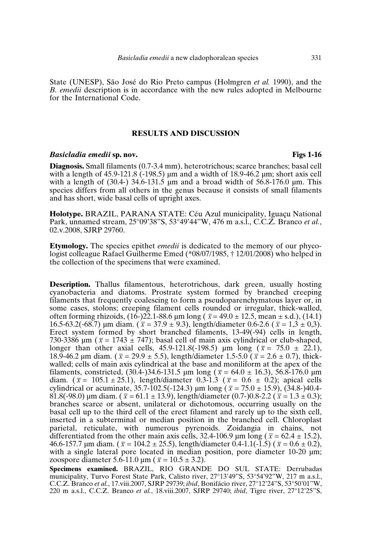State (UNESP), São José do Rio Preto campus (Holmgren *et al.* 1990), and the *B. emedii* description is in accordance with the new rules adopted in Melbourne for the International Code.

# **RESULTS AND DISCUSSION**

### *Basicladia emedii* **sp. nov. Figs 1-16**

**Diagnosis.** Small filaments (0.7-3.4 mm), heterotrichous; scarce branches; basal cell with a length of  $45.9-121.8$  ( $-198.5$ ) µm and a width of  $18.9-46.2$  µm; short axis cell with a length of  $(30.4)$  34.6-131.5 µm and a broad width of 56.8-176.0 µm. This species differs from all others in the genus because it consists of small filaments and has short, wide basal cells of upright axes.

**Holotype.** BRAZIL, PARANA STATE: Céu Azul municipality, Iguaçu National Park, unnamed stream, 25°09'38"S, 53°49'44"W, 476 m a.s.l., C.C.Z. Branco *et al.*, 02.v.2008, SJRP 29760.

**Etymology.** The species epithet *emedii* is dedicated to the memory of our phycologist colleague Rafael Guilherme Emed (\*08/07/1985, † 12/01/2008) who helped in the collection of the specimens that were examined.

**Description.** Thallus filamentous, heterotrichous, dark green, usually hosting cyanobacteria and diatoms. Prostrate system formed by branched creeping filaments that frequently coalescing to form a pseudoparenchymatous layer or, in some cases, stolons; creeping filament cells rounded or irregular, thick-walled, often forming rhizoids,  $(16-)22.1-88.6 \mu m \text{ long}$  ( $\bar{x} = 49.0 \pm 12.5$ , mean  $\pm$  s.d.),  $(14.1)$ 16.5-63.2(-68.7) µm diam. ( $\bar{x} = 37.9 \pm 9.3$ ), length/diameter 0.6-2.6 ( $\bar{x} = 1.3 \pm 0.3$ ). Erect system formed by short branched filaments, 13-49(-94) cells in length, 730-3386  $\mu$ m ( $\bar{x}$  = 1743  $\pm$  747); basal cell of main axis cylindrical or club-shaped, longer than other axial cells,  $45.9 - 121.8(-198.5)$  µm long ( $\bar{x} = 75.0 \pm 22.1$ ), 18.9-46.2 µm diam. ( $\bar{x} = 29.9 \pm 5.5$ ), length/diameter 1.5-5.0 ( $\bar{x} = 2.6 \pm 0.7$ ), thickwalled; cells of main axis cylindrical at the base and moniliform at the apex of the filaments, constricted,  $(30.4-)34.6-131.5 \mu m \log (\bar{x} = 64.0 \pm 16.3)$ , 56.8-176.0  $\mu$ m diam.  $(\bar{x} = 105.1 \pm 25.1)$ , length/diameter 0.3-1.3 ( $\bar{x} = 0.6 \pm 0.2$ ); apical cells cylindrical or acuminate,  $35.7 - 102.5(-124.3)$  µm long ( $\bar{x} = 75.0 \pm 15.9$ ),  $(34.8 - 104.4 - 104.5)$ 81.8(-98.0) µm diam. ( $\bar{x}$  = 61.1 ± 13.9), length/diameter (0.7-)0.8-2.2 ( $\bar{x}$  = 1.3 ± 0.3); branches scarce or absent, unilateral or dichotomous, occurring usually on the basal cell up to the third cell of the erect filament and rarely up to the sixth cell, inserted in a subterminal or median position in the branched cell. Chloroplast parietal, reticulate, with numerous pyrenoids. Zoidangia in chains, not differentiated from the other main axis cells, 32.4-106.9  $\mu$ m long ( $\bar{x} = 62.4 \pm 15.2$ ), 46.6-157.7 µm diam. ( $\bar{x} = 104.2 \pm 25.5$ ), length/diameter 0.4-1.1(-1.5) ( $\bar{x} = 0.6 \pm 0.2$ ), with a single lateral pore located in median position, pore diameter  $10-20 \mu m$ ; zoospore diameter 5.6-11.0  $\mu$ m ( $\bar{x}$  = 10.5  $\pm$  3.2).

**Specimens examined.** BRAZIL, RIO GRANDE DO SUL STATE: Derrubadas municipality, Turvo Forest State Park, Calisto river, 27°13'49"S, 53°54'92"W, 217 m a.s.l., C.C.Z. Branco *et al.*, 17.viii.2007, SJRP 29739; *ibid*, Bonifácio river, 27°12'24"S, 53°50'01"W, 220 m a.s.l., C.C.Z. Branco *et al.*, 18.viii.2007, SJRP 29740; *ibid*, Tigre river, 27°12'25"S,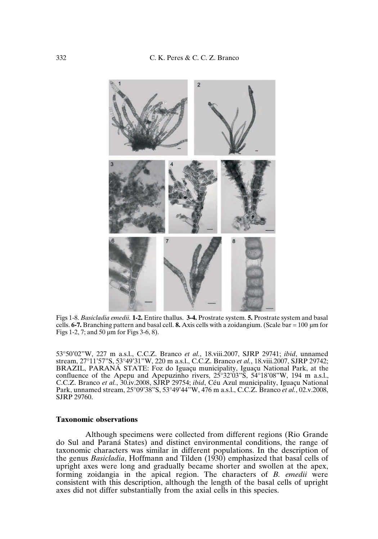

Figs 1-8. *Basicladia emedii.* **1-2.** Entire thallus. **3-4.** Prostrate system. **5.** Prostrate system and basal cells.  $6-7$ . Branching pattern and basal cell. **8.** Axis cells with a zoidangium. (Scale bar = 100  $\mu$ m for Figs 1-2, 7; and 50 µm for Figs 3-6, 8).

53°50'02"W, 227 m a.s.l., C.C.Z. Branco *et al.*, 18.viii.2007, SJRP 29741; *ibid*, unnamed stream, 27°11'57"S, 53°49'31"W, 220 m a.s.l., C.C.Z. Branco *et al.*, 18.viii.2007, SJRP 29742; BRAZIL, PARANÁ STATE: Foz do Iguaçu municipality, Iguaçu National Park, at the confluence of the Apepu and Apepuzinho rivers,  $25^{\circ}32^{\circ}03^{\circ}5$ ,  $54^{\circ}18^{\circ}08^{\circ}W$ , 194 m a.s.l., C.C.Z. Branco *et al.*, 30.iv.2008, SJRP 29754; *ibid*, Céu Azul municipality, Iguaçu National Park, unnamed stream, 25°09'38"S, 53°49'44"W, 476 m a.s.l., C.C.Z. Branco *et al.*, 02.v.2008, SJRP 29760.

# **Taxonomic observations**

Although specimens were collected from different regions (Rio Grande do Sul and Paraná States) and distinct environmental conditions, the range of taxonomic characters was similar in different populations. In the description of the genus *Basicladia*, Hoffmann and Tilden (1930) emphasized that basal cells of upright axes were long and gradually became shorter and swollen at the apex, forming zoidangia in the apical region. The characters of *B. emedii* were consistent with this description, although the length of the basal cells of upright axes did not differ substantially from the axial cells in this species.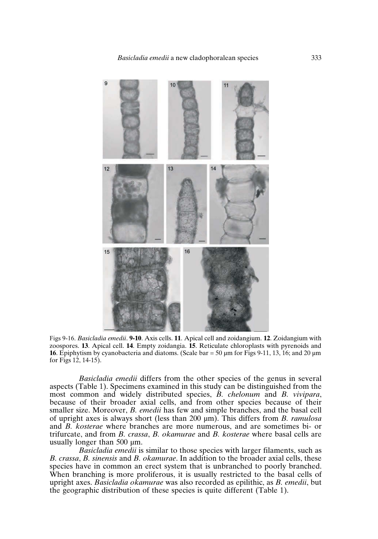*Basicladia emedii* a new cladophoralean species 333



Figs 9-16. *Basicladia emedii*. **9-10**. Axis cells. **11**. Apical cell and zoidangium. **12**. Zoidangium with zoospores. **13**. Apical cell. **14**. Empty zoidangia. **15**. Reticulate chloroplasts with pyrenoids and **16**. Epiphytism by cyanobacteria and diatoms. (Scale bar  $= 50 \mu m$  for Figs 9-11, 13, 16; and 20  $\mu$ m for Figs 12, 14-15).

*Basicladia emedii* differs from the other species of the genus in several aspects (Table 1). Specimens examined in this study can be distinguished from the most common and widely distributed species, *B. chelonum* and *B. vivipara*, because of their broader axial cells, and from other species because of their smaller size. Moreover, *B. emedii* has few and simple branches, and the basal cell of upright axes is always short (less than 200 µm). This differs from *B. ramulosa* and *B. kosterae* where branches are more numerous, and are sometimes bi- or trifurcate, and from *B. crassa*, *B. okamurae* and *B. kosterae* where basal cells are usually longer than 500 µm.

*Basicladia emedii* is similar to those species with larger filaments, such as *B. crassa*, *B. sinensis* and *B. okamurae*. In addition to the broader axial cells, these species have in common an erect system that is unbranched to poorly branched. When branching is more proliferous, it is usually restricted to the basal cells of upright axes. *Basicladia okamurae* was also recorded as epilithic, as *B. emedii*, but the geographic distribution of these species is quite different (Table 1).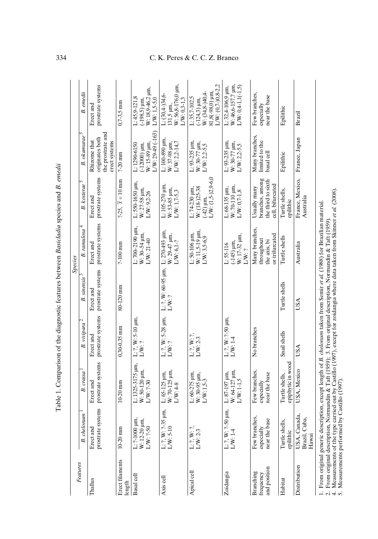| Features                               |                                                                                                                                        |                                                        |                                    |                                                     | Species                                                         |                                                                           |                                                                            |                                                                                                                |
|----------------------------------------|----------------------------------------------------------------------------------------------------------------------------------------|--------------------------------------------------------|------------------------------------|-----------------------------------------------------|-----------------------------------------------------------------|---------------------------------------------------------------------------|----------------------------------------------------------------------------|----------------------------------------------------------------------------------------------------------------|
|                                        | <b>B.</b> chelonum                                                                                                                     | B. crassa                                              | $\mathbf{c}$<br>B. vivipara        | <b>B.</b> sinensis                                  | 4<br><b>B.</b> ramulosa                                         | C<br><b>B.</b> kosterae                                                   | $B.$ okamurae $5$                                                          | B. emedii                                                                                                      |
| Thallus                                | prostrate systems<br>Erect and                                                                                                         | prostrate systems<br>Erect and                         | prostrate systems<br>Erect and     | prostrate systems<br>Erect and                      | prostrate systems<br>Erect and                                  | prostrate systems<br>Erect and                                            | the prostrate and<br>originates both<br>Rhizome that<br>erect systems      | prostrate systems<br>Erect and                                                                                 |
| Erect filaments<br>length              | $10-20$ mm                                                                                                                             | $10-20$ mm                                             | $0.30 - 0.35$ mm                   | 80-120 mm                                           | $2-100$ mm                                                      | $2-25$ , $\bar{x} = 10$ mm                                                | $2-20$ mm                                                                  | $0.7 - 3.5$ mm                                                                                                 |
| Basal cell                             | L: ?-1000 $\mu$ m,<br>W: 12-20 $\mu$ m,<br>$L/W: ?-50$                                                                                 | $L: 1325 - 3175$ $µm,$<br>W: 50-120 µm,<br>$L/W: ?-30$ | L: ?, W: 5-10 µm<br>L/W:?          |                                                     | $L: 700 - 2190$ $\mu$ m,<br>$W:30-54 \mu m$ ,<br>$L/W: 21-40$   | L: 550-1650 µm.<br>W: 27-58 µm,<br>L/W: 92-26                             | $L/W: 29-49$ (-163)<br>W: 15-89 µm,<br>$(-12000)$ $\mu$ m,<br>L: 1290-6150 | W: 18,9-46,2 µm,<br>$L: 45,9-121,8$<br>$(-198,5)$ $\mu$ m,<br>$LW: 1.5-5.0$                                    |
| Axis cell                              | L: ?, W: ?-35 $\mu$ m,<br>L/W: 5-10                                                                                                    | W: 70-125 µm.<br>$L: 65-125 \text{ µm}$<br>L/W: 4-8    | L: ?, W: 5-28 µm,<br>L/W:?         | L: 2, W: 60-95 $\mu$ m, L: 270-493 $\mu$ m,<br>LW:? | W: 29-47 µm,<br>LW: 6.1-?                                       | L: 105-270 µm,<br>W: 53-85 µm,<br>L/W: 1,7-5,3                            | $L: 100-890$ $\mu$ m.<br>$LW: 2, 2-14, 7$<br>W: 37-98 µm,                  | W: 56,8-176,0 µm,<br>$L: (30.4 - 34.6$<br>$L/W: 0.3-1.3$<br>$131,5 \mu m$ ,                                    |
| Apical cell                            | $L: ?, W: ?$ ,<br>L/W: 2-3                                                                                                             | L: 60-275 µm,<br>W: 30-95 µm,<br>$L/W: 1, 5-3$         | $L: ?, W: ?$ ,<br>L/W: 2-3         |                                                     | $W: 11.5 - 19 \mu m$ ,<br>$L:50-106$ $\mu$ m,<br>$L/W: 3,5-6,9$ | $L/W: (1,5-2,9-6,0)$<br>$W: (18-25-38)$<br>L: 74-230 µm,<br>$(42)$ µm.    | $L: 93-235$ $µm$ .<br>$W: 30-77 \mu m$ ,<br>$L/W: 2,2-5,5$                 | $1/W: (0.7 - 0.8 - 2.2)$<br>$81,8(-98,0)$ $\mu$ m.<br>$W: (34.8 - 140.4 -$<br>$L: 35,7-102,5$<br>$(-124,3)$ µm |
| Zoidangia                              | L: ?, W: ?-50 $\mu$ m,<br>L/W: 1-4                                                                                                     | W: 64-127 µm,<br>L: 87-197 µm,<br>$L/W: 1-1.5$         | $L: 2, W: 2-50 \mu m$<br>$L/W:1-4$ |                                                     | W: 17-32 µm,<br>$(145)$ $\mu$ m,<br>$L: 55-116$<br>LW: ?        | W: 70-110 µm,<br>$L: 68-135$ $\mu$ m.<br>$L/W: 0,7-1,8$                   | $L: 93-235$ $\mu$ m.<br>W: 30-77 µm,<br>$L/W: 2,2-5,5$                     | $L$ W: $0,4-1,1(-1,5)$<br>W: 46,6-157.7 um<br>$L: 32.4 - 106.9$ $\mu$ m,                                       |
| and position<br>Branching<br>frequency | Few branches,<br>near the base<br>especially                                                                                           | Few branches.<br>near the base<br>especially           | No branches                        |                                                     | Many branches.<br>or trifurcated<br>throughout<br>the axis, bi  | branches, among<br>the third to sixth<br>cell, bifurcated<br>Usually many | Many branches,<br>limited to the<br>basal cell                             | Few branches,<br>near the base<br>especially                                                                   |
| Habitat                                | s,<br>Turtle shell<br>epilithic                                                                                                        | epiphytic in wooc<br>Turtle shells.                    | Snail shells                       | Turtle shells                                       | Turtle shells                                                   | Turtle shells,<br>epilithic                                               | Epilithic                                                                  | Epilithic                                                                                                      |
| Distribution                           | USA, Canada,<br>Brazil, Cuba,<br>Hawai                                                                                                 | USA, Mexico                                            | USA                                | USA                                                 | Australia                                                       | France, Mexico,<br>Australia                                              | France, Japan                                                              | Brazil                                                                                                         |
|                                        | 1. From original generic description, except length of <i>B. chelonum</i> taken from Semir <i>et al.</i> (1988) for Brazilian material |                                                        |                                    |                                                     |                                                                 |                                                                           |                                                                            |                                                                                                                |

Table 1. Comparison of the diagnostic features between Basicladia species and B. emedii Table 1. Comparison of the diagnostic features between *Basicladia* species and *B. emedii*

# 334 C. K. Peres & C. C. Z. Branco

1. From original generic description, except length of *B. chelonum* taken from Semir *et al.* (1988) for Brazilian material.

1. From original generic description, except religion of the change and assemblance at the solution Measurement and 4. Measurements of the type carried out by Castillo (1997), except for zoidangia where data taken from Ski 2. From original description, Normandin & Taft (1959); 3. From original description, Normandin & Taft (1959).

4. Measurements of the type carried out by Castillo (1997), except for zoidangia where data taken from Skinner *et al.* (2008).

5. Measurements performed by Castillo (1997).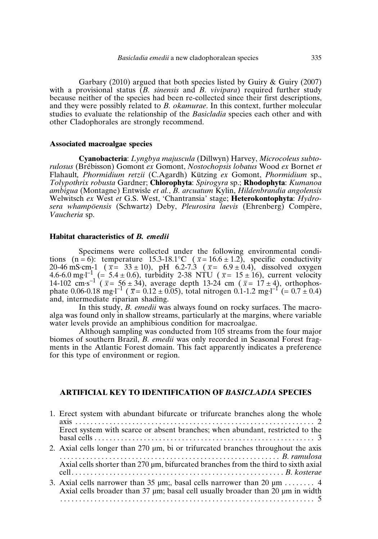Garbary (2010) argued that both species listed by Guiry & Guiry (2007) with a provisional status (*B. sinensis* and *B. vivipara*) required further study because neither of the species had been re-collected since their first descriptions, and they were possibly related to *B. okamurae*. In this context, further molecular studies to evaluate the relationship of the *Basicladia* species each other and with other Cladophorales are strongly recommend.

### **Associated macroalgae species**

**Cyanobacteria**: *Lyngbya majuscula* (Dillwyn) Harvey, *Microcoleus subtorulosus* (Brébisson) Gomont *ex* Gomont, *Nostochopsis lobatus* Wood *ex* Bornet *et* Flahault*, Phormidium retzii* (C.Agardh) Kützing *ex* Gomont, *Phormidium* sp., *Tolypothrix robusta* Gardner; **Chlorophyta**: *Spirogyra* sp.; **Rhodophyta**: *Kumanoa ambigua* (Montagne) Entwisle *et al.*, *B. arcuatum* Kylin, *Hildenbrandia angolensis* Welwitsch *ex* West *et* G.S. West, 'Chantransia' stage; **Heterokontophyta**: *Hydrosera whampöensis* (Schwartz) Deby, *Pleurosira laevis* (Ehrenberg) Compère, *Vaucheria* sp.

### **Habitat characteristics of** *B. emedii*

Specimens were collected under the following environmental conditions (n = 6): temperature  $15.3{\cdot}18.1^{\circ}C$  ( $\bar{x} = 16.6 \pm 1.2$ ), specific conductivity  $20-46$  mS·cm-1 ( $\bar{x} = 33 \pm 10$ ), pH 6.2-7.3 ( $\bar{x} = 6.9 \pm 0.4$ ), dissolved oxygen 4.6-6.0 mg·l<sup>-1</sup> (= 5.4 ± 0.6), turbidity 2-38 NTU ( $\bar{x}$ = 15 ± 16), current velocity 14-102 cm·s<sup>-1</sup> ( $\bar{x} = 56 \pm 34$ ), average depth 13-24 cm ( $\bar{x} = 17 \pm 4$ ), orthophosphate 0.06-0.18 mg·l<sup>-1</sup> ( $\bar{x} = 0.12 \pm 0.05$ ), total nitrogen 0.1-1.2 mg·l<sup>-1</sup> (= 0.7  $\pm$  0.4) and, intermediate riparian shading. *x*  $\bar{x}$  = 56 ± 34), average depth 13-24 cm ( $\bar{x}$ *x*

In this study, *B. emedii* was always found on rocky surfaces. The macroalga was found only in shallow streams, particularly at the margins, where variable water levels provide an amphibious condition for macroalgae.

Although sampling was conducted from 105 streams from the four major biomes of southern Brazil, *B. emedii* was only recorded in Seasonal Forest fragments in the Atlantic Forest domain. This fact apparently indicates a preference for this type of environment or region.

# **ARTIFICIAL KEY TO IDENTIFICATION OF** *BASICLADIA* **SPECIES**

| 1. Erect system with abundant bifurcate or trifurcate branches along the whole                                                                                               |
|------------------------------------------------------------------------------------------------------------------------------------------------------------------------------|
| Erect system with scarce or absent branches; when abundant, restricted to the                                                                                                |
| 2. Axial cells longer than 270 μm, bi or trifurcated branches throughout the axis                                                                                            |
| Axial cells shorter than 270 µm, bifurcated branches from the third to sixth axial                                                                                           |
| 3. Axial cells narrower than 35 $\mu$ m; basal cells narrower than 20 $\mu$ m  4<br>Axial cells broader than 37 $\mu$ m; basal cell usually broader than 20 $\mu$ m in width |
|                                                                                                                                                                              |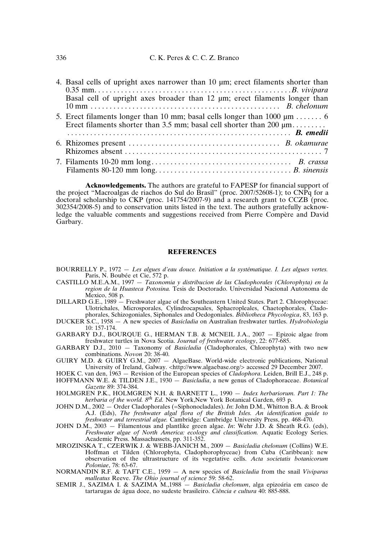| 4. Basal cells of upright axes narrower than 10 µm; erect filaments shorter than                                                                          |
|-----------------------------------------------------------------------------------------------------------------------------------------------------------|
|                                                                                                                                                           |
| Basal cell of upright axes broader than 12 µm; erect filaments longer than                                                                                |
|                                                                                                                                                           |
| 5. Erect filaments longer than 10 mm; basal cells longer than 1000 $\mu$ m  6<br>Erect filaments shorter than 3.5 mm; basal cell shorter than 200 $\mu$ m |
|                                                                                                                                                           |
|                                                                                                                                                           |
|                                                                                                                                                           |

**Acknowledgements.** The authors are grateful to FAPESP for financial support of the project "Macroalgas de riachos do Sul do Brasil" (proc. 2007/52608-1); to CNPq for a doctoral scholarship to CKP (proc. 141754/2007-9) and a research grant to CCZB (proc. 302354/2008-5) and to conservation units listed in the text. The authors gratefully acknowledge the valuable comments and suggestions received from Pierre Compère and David Garbary.

### **REFERENCES**

- BOURRELLY P., 1972 *Les algues d'eau douce. Initiation a la systématique. I. Les algues vertes.* Paris, N. Boubée et Cie, 572 p.
- CASTILLO M.E.A.M., 1997 *Taxonomia y distribucion de las Cladophorales (Chlorophyta) en la region de la Huasteca Potosina.* Tesis de Doctorado. Universidad Nacional Autonoma de Mexico, 508 p.
- DILLARD G.E., 1989 Freshwater algae of the Southeastern United States. Part 2. Chlorophyceae: Ulotrichales, Microsporales, Cylindrocapsales, Sphaeropleales, Chaetophorales, Cladophorales, Schizogoniales, Siphonales and Oedogoniales. *Bibliotheca Phycologica*, 83, 163 p.
- DUCKER S.C., 1958 A new species of *Basicladia* on Australian freshwater turtles. *Hydrobiologia* 10: 157-174.
- GARBARY D.J., BOURQUE G., HERMAN T.B. & MCNEIL J.A., 2007 Epizoic algae from freshwater turtles in Nova Scotia. *Journal of freshwater ecology*, 22: 677-685.
- GARBARY D.J., 2010 Taxonomy of *Basicladia* (Cladophorales, Chlorophyta) with two new combinations. *Novon* 20: 38-40.
- GUIRY M.D. & GUIRY G.M., 2007 AlgaeBase. World-wide electronic publications, National University of Ireland, Galway. <http://www.algaebase.org/> accessed 29 December 2007.
- HOEK C. van den, 1963 Revision of the European species of *Cladophora*. Leiden, Brill E.J., 248 p.
- HOFFMANN W.E. & TILDEN J.E., 1930 *Basicladia*, a new genus of Cladophoraceae. *Botanical Gazette* 89: 374-384.
- HOLMGREN P.K., HOLMGREN N.H. & BARNETT L., 1990 *Index herbariorum. Part 1: The herbaria of the world. 8th Ed.* New York,New York Botanical Garden, 693 p.
- JOHN D.M., 2002 Order Cladophorales (=Siphonocladales). *In*: John D.M., Whitton B.A. & Brook A.J. (Eds), *The freshwater algal flora of the British Isles. An identification guide to freshwater and terrestrial algae.* Cambridge: Cambridge University Press, pp. 468-470.
- JOHN D.M., 2003 Filamentous and plantlike green algae. *In*: Wehr J.D. & Sheath R.G. (eds), *Freshwater algae of North America: ecology and classification.* Aquatic Ecology Series. Academic Press. Massachussets, pp. 311-352.
- MROZINSKA T., CZERWIK J. & WEBB-JANICH M., 2009 *Basicladia chelonum* (Collins) W.E. Hoffman et Tilden (Chlorophyta, Cladophorophyceae) from Cuba (Caribbean): new observation of the ultrastructure of its vegetative cells. *Acta societatis botanicorum Poloniae*, 78: 63-67.
- NORMANDIN R.F. & TAFT C.E., 1959 A new species of *Basicladia* from the snail *Viviparus malleatus* Reeve. *The Ohio journal of science* 59: 58-62.
- SEMIR J., SAZIMA I. & SAZIMA M.,1988 *Basicladia chelonum*, alga epizoária em casco de tartarugas de água doce, no sudeste brasileiro. *Ciência e cultura* 40: 885-888.